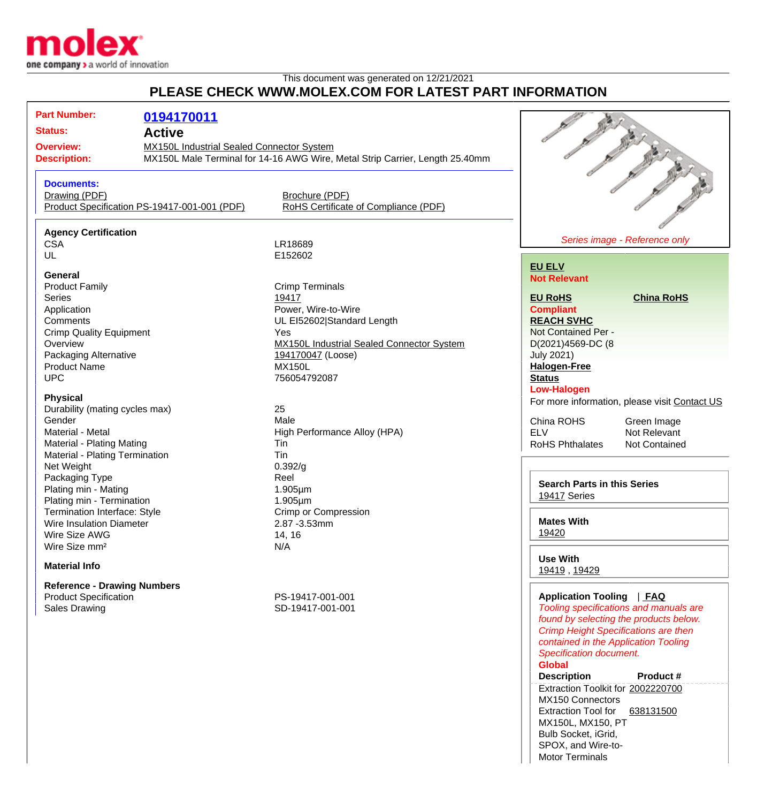

## This document was generated on 12/21/2021 **PLEASE CHECK WWW.MOLEY COM EOP LATEST PART INFORMATION**

|                                                                                                                                                                                                                                                                                                                                                                                                                                                                                                                                                                          |                                              | PLEASE CHECK WWW.MOLEA.COM FOR LATEST PART INFORMATION                                                                                                                                                                                                                                                                                                                            |                                                                                                                                                                                                                                                                                                                                                                                                                                                                                                                          |                |
|--------------------------------------------------------------------------------------------------------------------------------------------------------------------------------------------------------------------------------------------------------------------------------------------------------------------------------------------------------------------------------------------------------------------------------------------------------------------------------------------------------------------------------------------------------------------------|----------------------------------------------|-----------------------------------------------------------------------------------------------------------------------------------------------------------------------------------------------------------------------------------------------------------------------------------------------------------------------------------------------------------------------------------|--------------------------------------------------------------------------------------------------------------------------------------------------------------------------------------------------------------------------------------------------------------------------------------------------------------------------------------------------------------------------------------------------------------------------------------------------------------------------------------------------------------------------|----------------|
| <b>Part Number:</b><br>0194170011<br><b>Status:</b><br><b>Active</b><br>MX150L Industrial Sealed Connector System<br><b>Overview:</b><br><b>Description:</b>                                                                                                                                                                                                                                                                                                                                                                                                             |                                              | MX150L Male Terminal for 14-16 AWG Wire, Metal Strip Carrier, Length 25.40mm                                                                                                                                                                                                                                                                                                      |                                                                                                                                                                                                                                                                                                                                                                                                                                                                                                                          |                |
| <b>Documents:</b><br>Drawing (PDF)                                                                                                                                                                                                                                                                                                                                                                                                                                                                                                                                       | Product Specification PS-19417-001-001 (PDF) | Brochure (PDF)<br>RoHS Certificate of Compliance (PDF)                                                                                                                                                                                                                                                                                                                            |                                                                                                                                                                                                                                                                                                                                                                                                                                                                                                                          | The Manuscript |
| <b>Agency Certification</b><br><b>CSA</b><br>UL                                                                                                                                                                                                                                                                                                                                                                                                                                                                                                                          |                                              | LR18689<br>E152602                                                                                                                                                                                                                                                                                                                                                                | Series image - Reference only                                                                                                                                                                                                                                                                                                                                                                                                                                                                                            |                |
| General<br><b>Product Family</b><br><b>Series</b><br>Application<br>Comments<br><b>Crimp Quality Equipment</b><br>Overview<br>Packaging Alternative<br><b>Product Name</b><br><b>UPC</b><br><b>Physical</b><br>Durability (mating cycles max)<br>Gender<br>Material - Metal<br>Material - Plating Mating<br>Material - Plating Termination<br>Net Weight<br>Packaging Type<br>Plating min - Mating<br>Plating min - Termination<br><b>Termination Interface: Style</b><br>Wire Insulation Diameter<br>Wire Size AWG<br>Wire Size mm <sup>2</sup><br><b>Material Info</b> |                                              | <b>Crimp Terminals</b><br>19417<br>Power, Wire-to-Wire<br>UL EI52602 Standard Length<br>Yes<br><b>MX150L Industrial Sealed Connector System</b><br>194170047 (Loose)<br><b>MX150L</b><br>756054792087<br>25<br>Male<br>High Performance Alloy (HPA)<br>Tin<br>Tin<br>0.392/g<br>Reel<br>$1.905 \mu m$<br>1.905µm<br><b>Crimp or Compression</b><br>2.87 - 3.53mm<br>14, 16<br>N/A | <b>EU ELV</b><br><b>Not Relevant</b><br><b>EU RoHS</b><br><b>China RoHS</b><br><b>Compliant</b><br><b>REACH SVHC</b><br>Not Contained Per -<br>D(2021)4569-DC (8<br><b>July 2021)</b><br><b>Halogen-Free</b><br><b>Status</b><br><b>Low-Halogen</b><br>For more information, please visit Contact US<br>China ROHS<br>Green Image<br><b>ELV</b><br>Not Relevant<br><b>RoHS Phthalates</b><br><b>Not Contained</b><br><b>Search Parts in this Series</b><br>19417 Series<br><b>Mates With</b><br>19420<br><b>Use With</b> |                |
| <b>Reference - Drawing Numbers</b><br><b>Product Specification</b><br><b>Sales Drawing</b>                                                                                                                                                                                                                                                                                                                                                                                                                                                                               |                                              | PS-19417-001-001<br>SD-19417-001-001                                                                                                                                                                                                                                                                                                                                              | 19419, 19429<br><b>Application Tooling</b><br><u>  FAQ</u><br>Tooling specifications and manuals are<br>found by selecting the products below.<br><b>Crimp Height Specifications are then</b><br>contained in the Application Tooling<br><b>Specification document.</b>                                                                                                                                                                                                                                                  |                |

## **Global**

**Description Product #** Extraction Toolkit for [2002220700](http://www.molex.com/molex/products/datasheet.jsp?part=active/2002220700_APPLICATION_TOOLIN.xml) MX150 Connectors Extraction Tool for [638131500](http://www.molex.com/molex/products/datasheet.jsp?part=active/0638131500_APPLICATION_TOOLIN.xml) MX150L, MX150, PT Bulb Socket, iGrid, SPOX, and Wire-to-Motor Terminals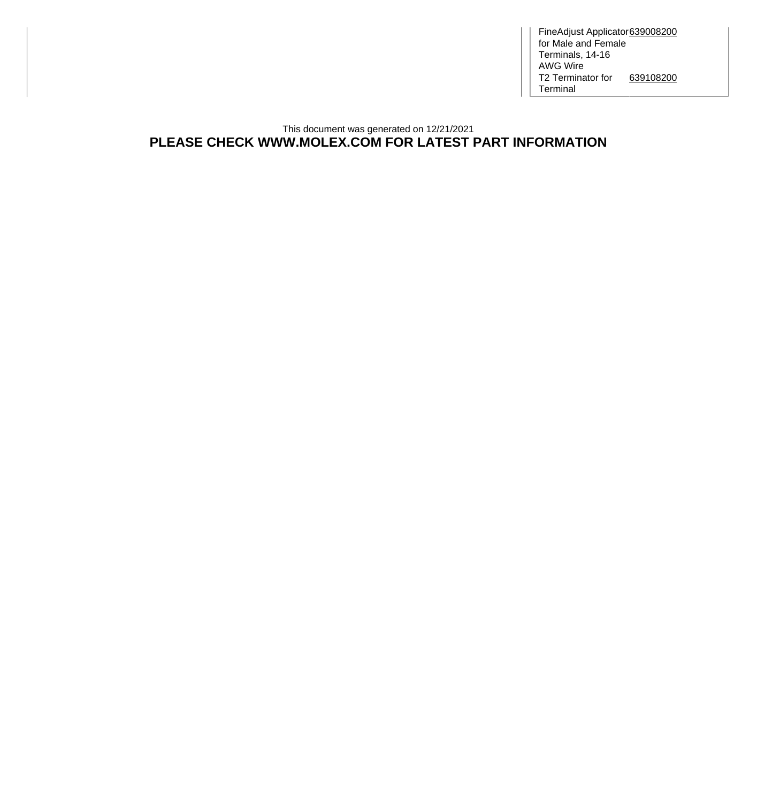FineAdjust Applicator for Male and Female Terminals, 14-16 AWG Wire [639008200](http://www.molex.com/molex/products/datasheet.jsp?part=active/0639008200_APPLICATION_TOOLIN.xml) T2 Terminator for Terminal [639108200](http://www.molex.com/molex/products/datasheet.jsp?part=active/0639108200_APPLICATION_TOOLIN.xml)

## This document was generated on 12/21/2021 **PLEASE CHECK WWW.MOLEX.COM FOR LATEST PART INFORMATION**